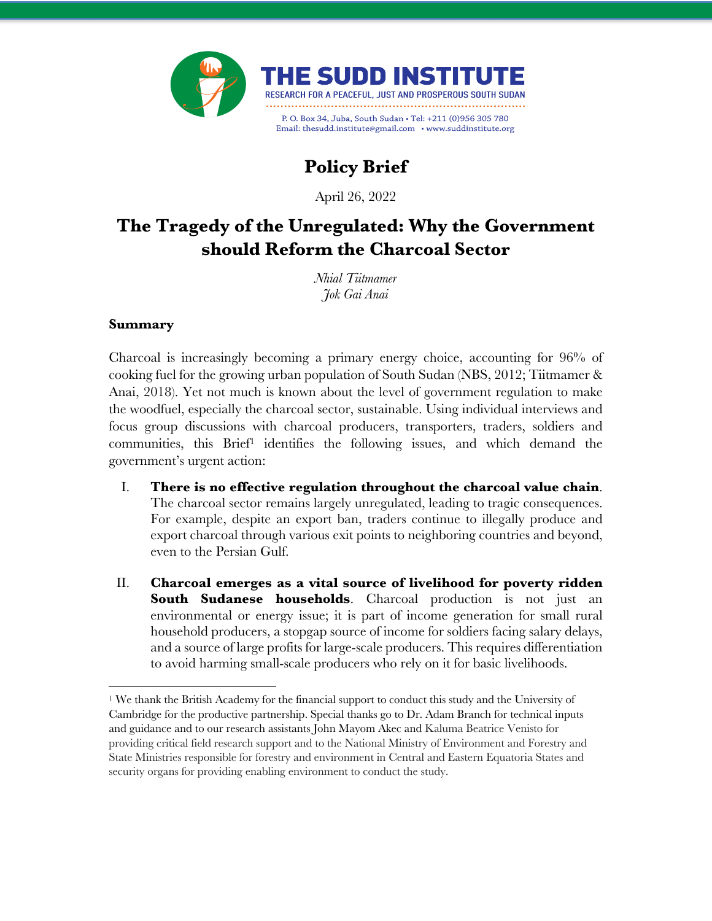

# **Policy Brief**

April 26, 2022

# **The Tragedy of the Unregulated: Why the Government should Reform the Charcoal Sector**

*Nhial Tiitmamer Jok Gai Anai*

#### **Summary**

Charcoal is increasingly becoming a primary energy choice, accounting for 96% of cooking fuel for the growing urban population of South Sudan (NBS, 2012; Tiitmamer & Anai, 2018). Yet not much is known about the level of government regulation to make the woodfuel, especially the charcoal sector, sustainable. Using individual interviews and focus group discussions with charcoal producers, transporters, traders, soldiers and communities, this Brief1 identifies the following issues, and which demand the government's urgent action:

- I. **There is no effective regulation throughout the charcoal value chain**. The charcoal sector remains largely unregulated, leading to tragic consequences. For example, despite an export ban, traders continue to illegally produce and export charcoal through various exit points to neighboring countries and beyond, even to the Persian Gulf.
- II. **Charcoal emerges as a vital source of livelihood for poverty ridden South Sudanese households**. Charcoal production is not just an environmental or energy issue; it is part of income generation for small rural household producers, a stopgap source of income for soldiers facing salary delays, and a source of large profits for large-scale producers. This requires differentiation to avoid harming small-scale producers who rely on it for basic livelihoods.

<sup>1</sup> We thank the British Academy for the financial support to conduct this study and the University of Cambridge for the productive partnership. Special thanks go to Dr. Adam Branch for technical inputs and guidance and to our research assistants John Mayom Akec and Kaluma Beatrice Venisto for providing critical field research support and to the National Ministry of Environment and Forestry and State Ministries responsible for forestry and environment in Central and Eastern Equatoria States and security organs for providing enabling environment to conduct the study.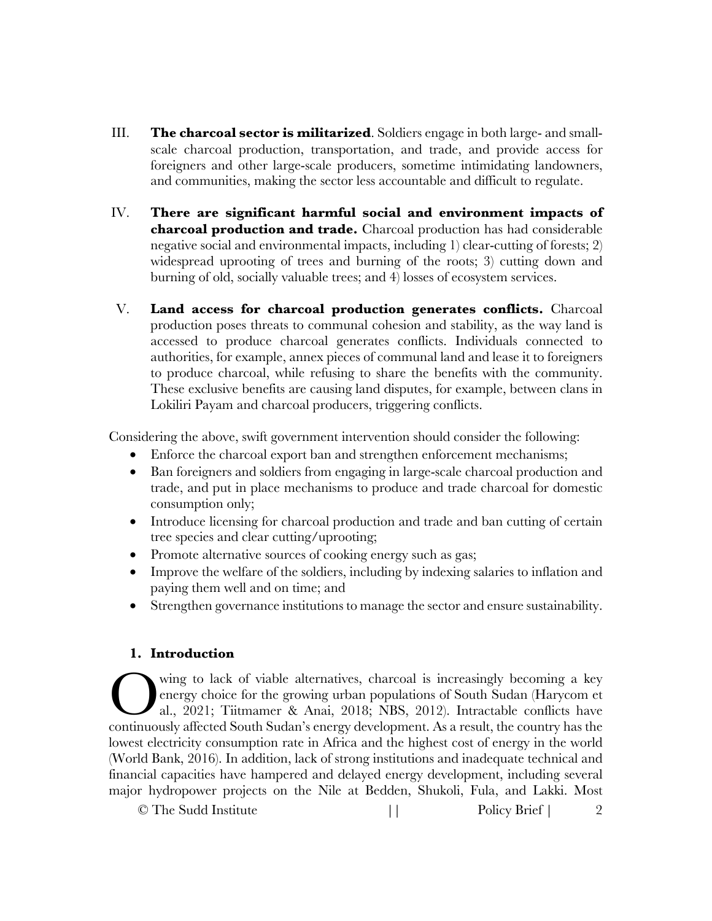- III. **The charcoal sector is militarized**. Soldiers engage in both large- and smallscale charcoal production, transportation, and trade, and provide access for foreigners and other large-scale producers, sometime intimidating landowners, and communities, making the sector less accountable and difficult to regulate.
- IV. **There are significant harmful social and environment impacts of charcoal production and trade.** Charcoal production has had considerable negative social and environmental impacts, including 1) clear-cutting of forests; 2) widespread uprooting of trees and burning of the roots; 3) cutting down and burning of old, socially valuable trees; and 4) losses of ecosystem services.
- V. **Land access for charcoal production generates conflicts.** Charcoal production poses threats to communal cohesion and stability, as the way land is accessed to produce charcoal generates conflicts. Individuals connected to authorities, for example, annex pieces of communal land and lease it to foreigners to produce charcoal, while refusing to share the benefits with the community. These exclusive benefits are causing land disputes, for example, between clans in Lokiliri Payam and charcoal producers, triggering conflicts.

Considering the above, swift government intervention should consider the following:

- Enforce the charcoal export ban and strengthen enforcement mechanisms;
- Ban foreigners and soldiers from engaging in large-scale charcoal production and trade, and put in place mechanisms to produce and trade charcoal for domestic consumption only;
- Introduce licensing for charcoal production and trade and ban cutting of certain tree species and clear cutting/uprooting;
- Promote alternative sources of cooking energy such as gas;
- Improve the welfare of the soldiers, including by indexing salaries to inflation and paying them well and on time; and
- Strengthen governance institutions to manage the sector and ensure sustainability.

# **1. Introduction**

wing to lack of viable alternatives, charcoal is increasingly becoming a key energy choice for the growing urban populations of South Sudan (Harycom et al., 2021; Tiitmamer & Anai, 2018; NBS, 2012). Intractable conflicts have Coming to lack of viable alternatives, charcoal is increasingly becoming a key energy choice for the growing urban populations of South Sudan (Harycom et al., 2021; Tiitmamer & Anai, 2018; NBS, 2012). Intractable conflicts lowest electricity consumption rate in Africa and the highest cost of energy in the world (World Bank, 2016). In addition, lack of strong institutions and inadequate technical and financial capacities have hampered and delayed energy development, including several major hydropower projects on the Nile at Bedden, Shukoli, Fula, and Lakki. Most

© The Sudd Institute  $\qquad$  || Policy Brief | 2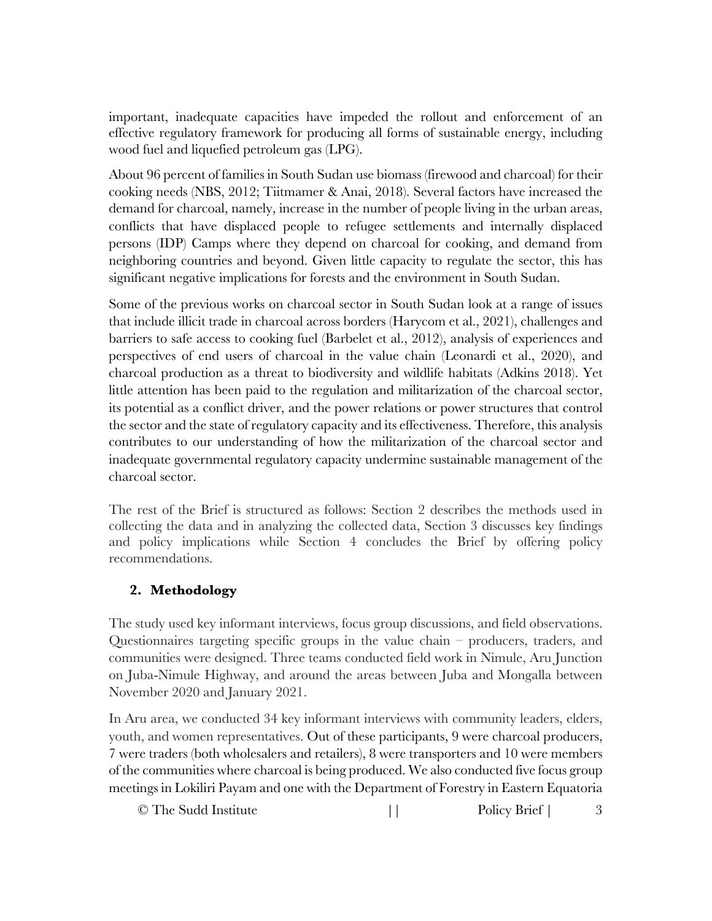important, inadequate capacities have impeded the rollout and enforcement of an effective regulatory framework for producing all forms of sustainable energy, including wood fuel and liquefied petroleum gas (LPG).

About 96 percent of families in South Sudan use biomass (firewood and charcoal) for their cooking needs (NBS, 2012; Tiitmamer & Anai, 2018). Several factors have increased the demand for charcoal, namely, increase in the number of people living in the urban areas, conflicts that have displaced people to refugee settlements and internally displaced persons (IDP) Camps where they depend on charcoal for cooking, and demand from neighboring countries and beyond. Given little capacity to regulate the sector, this has significant negative implications for forests and the environment in South Sudan.

Some of the previous works on charcoal sector in South Sudan look at a range of issues that include illicit trade in charcoal across borders (Harycom et al., 2021), challenges and barriers to safe access to cooking fuel (Barbelet et al., 2012), analysis of experiences and perspectives of end users of charcoal in the value chain (Leonardi et al., 2020), and charcoal production as a threat to biodiversity and wildlife habitats (Adkins 2018). Yet little attention has been paid to the regulation and militarization of the charcoal sector, its potential as a conflict driver, and the power relations or power structures that control the sector and the state of regulatory capacity and its effectiveness. Therefore, this analysis contributes to our understanding of how the militarization of the charcoal sector and inadequate governmental regulatory capacity undermine sustainable management of the charcoal sector.

The rest of the Brief is structured as follows: Section 2 describes the methods used in collecting the data and in analyzing the collected data, Section 3 discusses key findings and policy implications while Section 4 concludes the Brief by offering policy recommendations.

# **2. Methodology**

The study used key informant interviews, focus group discussions, and field observations. Questionnaires targeting specific groups in the value chain – producers, traders, and communities were designed. Three teams conducted field work in Nimule, Aru Junction on Juba-Nimule Highway, and around the areas between Juba and Mongalla between November 2020 and January 2021.

In Aru area, we conducted 34 key informant interviews with community leaders, elders, youth, and women representatives. Out of these participants, 9 were charcoal producers, 7 were traders (both wholesalers and retailers), 8 were transporters and 10 were members of the communities where charcoal is being produced. We also conducted five focus group meetings in Lokiliri Payam and one with the Department of Forestry in Eastern Equatoria

© The Sudd Institute  $\qquad$  || Policy Brief | 3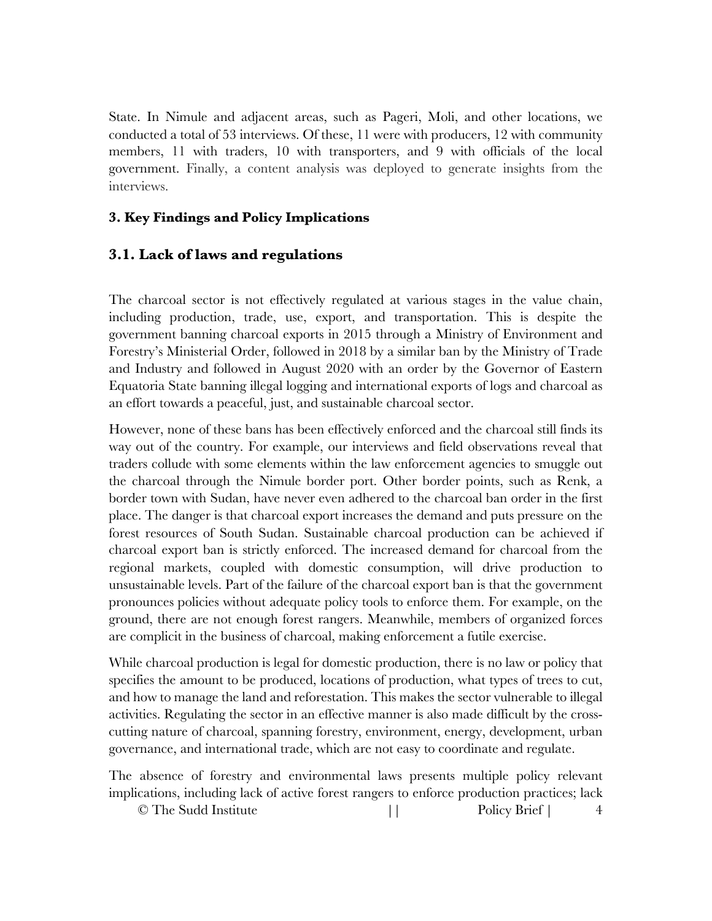State. In Nimule and adjacent areas, such as Pageri, Moli, and other locations, we conducted a total of 53 interviews. Of these, 11 were with producers, 12 with community members, 11 with traders, 10 with transporters, and 9 with officials of the local government. Finally, a content analysis was deployed to generate insights from the interviews.

### **3. Key Findings and Policy Implications**

### **3.1. Lack of laws and regulations**

The charcoal sector is not effectively regulated at various stages in the value chain, including production, trade, use, export, and transportation. This is despite the government banning charcoal exports in 2015 through a Ministry of Environment and Forestry's Ministerial Order, followed in 2018 by a similar ban by the Ministry of Trade and Industry and followed in August 2020 with an order by the Governor of Eastern Equatoria State banning illegal logging and international exports of logs and charcoal as an effort towards a peaceful, just, and sustainable charcoal sector.

However, none of these bans has been effectively enforced and the charcoal still finds its way out of the country. For example, our interviews and field observations reveal that traders collude with some elements within the law enforcement agencies to smuggle out the charcoal through the Nimule border port. Other border points, such as Renk, a border town with Sudan, have never even adhered to the charcoal ban order in the first place. The danger is that charcoal export increases the demand and puts pressure on the forest resources of South Sudan. Sustainable charcoal production can be achieved if charcoal export ban is strictly enforced. The increased demand for charcoal from the regional markets, coupled with domestic consumption, will drive production to unsustainable levels. Part of the failure of the charcoal export ban is that the government pronounces policies without adequate policy tools to enforce them. For example, on the ground, there are not enough forest rangers. Meanwhile, members of organized forces are complicit in the business of charcoal, making enforcement a futile exercise.

While charcoal production is legal for domestic production, there is no law or policy that specifies the amount to be produced, locations of production, what types of trees to cut, and how to manage the land and reforestation. This makes the sector vulnerable to illegal activities. Regulating the sector in an effective manner is also made difficult by the crosscutting nature of charcoal, spanning forestry, environment, energy, development, urban governance, and international trade, which are not easy to coordinate and regulate.

The absence of forestry and environmental laws presents multiple policy relevant implications, including lack of active forest rangers to enforce production practices; lack

© The Sudd Institute  $\qquad$  || Policy Brief | 4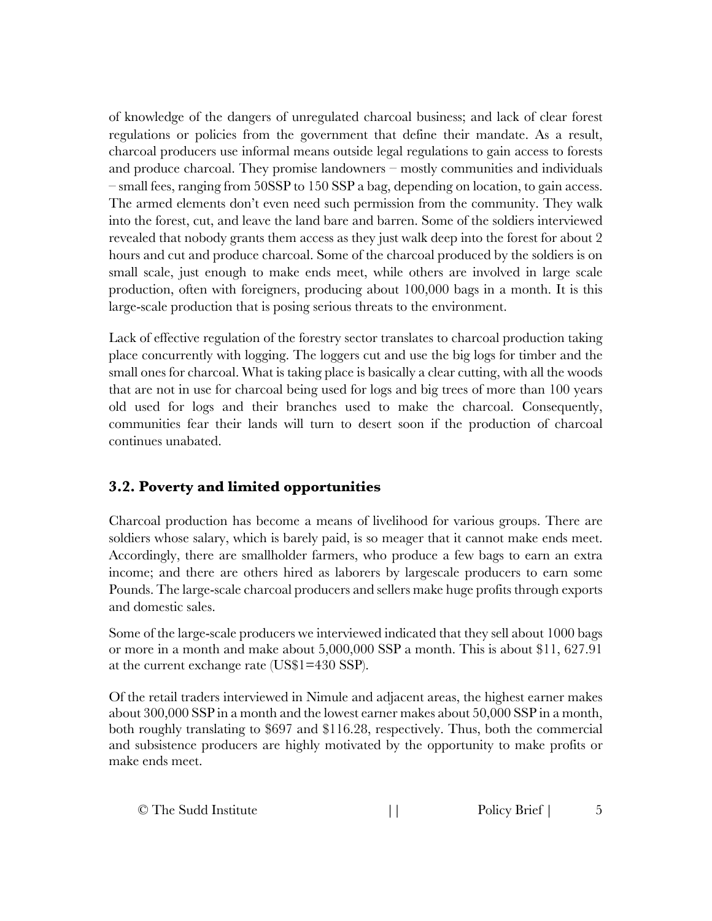of knowledge of the dangers of unregulated charcoal business; and lack of clear forest regulations or policies from the government that define their mandate. As a result, charcoal producers use informal means outside legal regulations to gain access to forests and produce charcoal. They promise landowners – mostly communities and individuals – small fees, ranging from 50SSP to 150 SSP a bag, depending on location, to gain access. The armed elements don't even need such permission from the community. They walk into the forest, cut, and leave the land bare and barren. Some of the soldiers interviewed revealed that nobody grants them access as they just walk deep into the forest for about 2 hours and cut and produce charcoal. Some of the charcoal produced by the soldiers is on small scale, just enough to make ends meet, while others are involved in large scale production, often with foreigners, producing about 100,000 bags in a month. It is this large-scale production that is posing serious threats to the environment.

Lack of effective regulation of the forestry sector translates to charcoal production taking place concurrently with logging. The loggers cut and use the big logs for timber and the small ones for charcoal. What is taking place is basically a clear cutting, with all the woods that are not in use for charcoal being used for logs and big trees of more than 100 years old used for logs and their branches used to make the charcoal. Consequently, communities fear their lands will turn to desert soon if the production of charcoal continues unabated.

# **3.2. Poverty and limited opportunities**

Charcoal production has become a means of livelihood for various groups. There are soldiers whose salary, which is barely paid, is so meager that it cannot make ends meet. Accordingly, there are smallholder farmers, who produce a few bags to earn an extra income; and there are others hired as laborers by largescale producers to earn some Pounds. The large-scale charcoal producers and sellers make huge profits through exports and domestic sales.

Some of the large-scale producers we interviewed indicated that they sell about 1000 bags or more in a month and make about 5,000,000 SSP a month. This is about \$11, 627.91 at the current exchange rate (US\$1=430 SSP).

Of the retail traders interviewed in Nimule and adjacent areas, the highest earner makes about 300,000 SSP in a month and the lowest earner makes about 50,000 SSP in a month, both roughly translating to \$697 and \$116.28, respectively. Thus, both the commercial and subsistence producers are highly motivated by the opportunity to make profits or make ends meet.

| © The Sudd Institute |  | Policy Brief |  |
|----------------------|--|--------------|--|
|----------------------|--|--------------|--|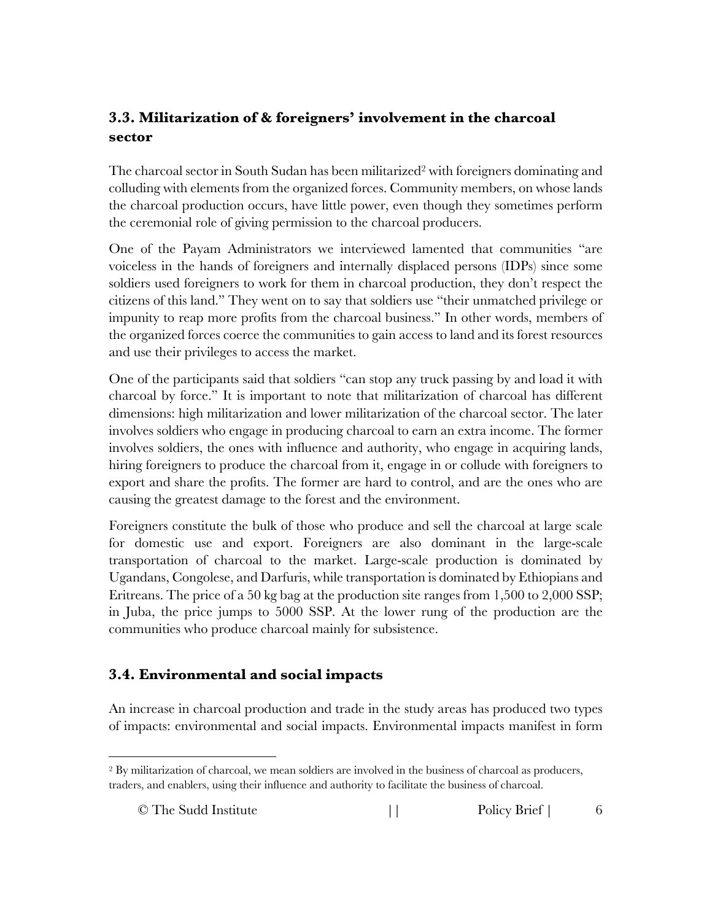# **3.3. Militarization of & foreigners' involvement in the charcoal sector**

The charcoal sector in South Sudan has been militarized<sup>2</sup> with foreigners dominating and colluding with elements from the organized forces. Community members, on whose lands the charcoal production occurs, have little power, even though they sometimes perform the ceremonial role of giving permission to the charcoal producers.

One of the Payam Administrators we interviewed lamented that communities "are voiceless in the hands of foreigners and internally displaced persons (IDPs) since some soldiers used foreigners to work for them in charcoal production, they don't respect the citizens of this land." They went on to say that soldiers use "their unmatched privilege or impunity to reap more profits from the charcoal business." In other words, members of the organized forces coerce the communities to gain access to land and its forest resources and use their privileges to access the market.

One of the participants said that soldiers "can stop any truck passing by and load it with charcoal by force." It is important to note that militarization of charcoal has different dimensions: high militarization and lower militarization of the charcoal sector. The later involves soldiers who engage in producing charcoal to earn an extra income. The former involves soldiers, the ones with influence and authority, who engage in acquiring lands, hiring foreigners to produce the charcoal from it, engage in or collude with foreigners to export and share the profits. The former are hard to control, and are the ones who are causing the greatest damage to the forest and the environment.

Foreigners constitute the bulk of those who produce and sell the charcoal at large scale for domestic use and export. Foreigners are also dominant in the large-scale transportation of charcoal to the market. Large-scale production is dominated by Ugandans, Congolese, and Darfuris, while transportation is dominated by Ethiopians and Eritreans. The price of a 50 kg bag at the production site ranges from 1,500 to 2,000 SSP; in Juba, the price jumps to 5000 SSP. At the lower rung of the production are the communities who produce charcoal mainly for subsistence.

# **3.4. Environmental and social impacts**

An increase in charcoal production and trade in the study areas has produced two types of impacts: environmental and social impacts. Environmental impacts manifest in form

<sup>2</sup> By militarization of charcoal, we mean soldiers are involved in the business of charcoal as producers, traders, and enablers, using their influence and authority to facilitate the business of charcoal.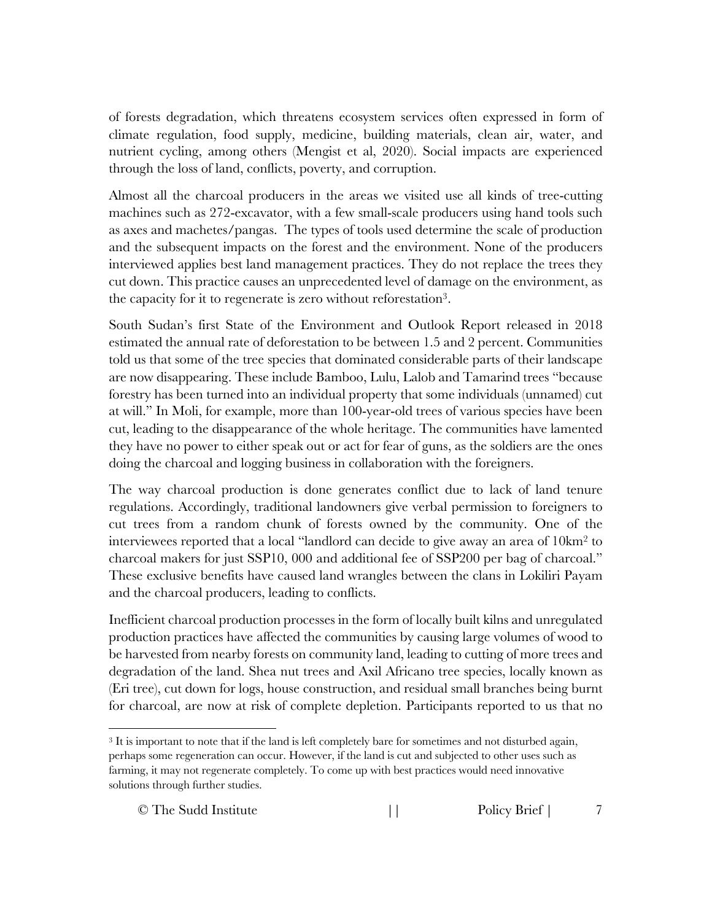of forests degradation, which threatens ecosystem services often expressed in form of climate regulation, food supply, medicine, building materials, clean air, water, and nutrient cycling, among others (Mengist et al, 2020). Social impacts are experienced through the loss of land, conflicts, poverty, and corruption.

Almost all the charcoal producers in the areas we visited use all kinds of tree-cutting machines such as 272-excavator, with a few small-scale producers using hand tools such as axes and machetes/pangas. The types of tools used determine the scale of production and the subsequent impacts on the forest and the environment. None of the producers interviewed applies best land management practices. They do not replace the trees they cut down. This practice causes an unprecedented level of damage on the environment, as the capacity for it to regenerate is zero without reforestation3.

South Sudan's first State of the Environment and Outlook Report released in 2018 estimated the annual rate of deforestation to be between 1.5 and 2 percent. Communities told us that some of the tree species that dominated considerable parts of their landscape are now disappearing. These include Bamboo, Lulu, Lalob and Tamarind trees "because forestry has been turned into an individual property that some individuals (unnamed) cut at will." In Moli, for example, more than 100-year-old trees of various species have been cut, leading to the disappearance of the whole heritage. The communities have lamented they have no power to either speak out or act for fear of guns, as the soldiers are the ones doing the charcoal and logging business in collaboration with the foreigners.

The way charcoal production is done generates conflict due to lack of land tenure regulations. Accordingly, traditional landowners give verbal permission to foreigners to cut trees from a random chunk of forests owned by the community. One of the interviewees reported that a local "landlord can decide to give away an area of  $10 \text{km}^2$  to charcoal makers for just SSP10, 000 and additional fee of SSP200 per bag of charcoal." These exclusive benefits have caused land wrangles between the clans in Lokiliri Payam and the charcoal producers, leading to conflicts.

Inefficient charcoal production processes in the form of locally built kilns and unregulated production practices have affected the communities by causing large volumes of wood to be harvested from nearby forests on community land, leading to cutting of more trees and degradation of the land. Shea nut trees and Axil Africano tree species, locally known as (Eri tree), cut down for logs, house construction, and residual small branches being burnt for charcoal, are now at risk of complete depletion. Participants reported to us that no

© The Sudd Institute  $\qquad$  || Policy Brief | 7

<sup>3</sup> It is important to note that if the land is left completely bare for sometimes and not disturbed again, perhaps some regeneration can occur. However, if the land is cut and subjected to other uses such as farming, it may not regenerate completely. To come up with best practices would need innovative solutions through further studies.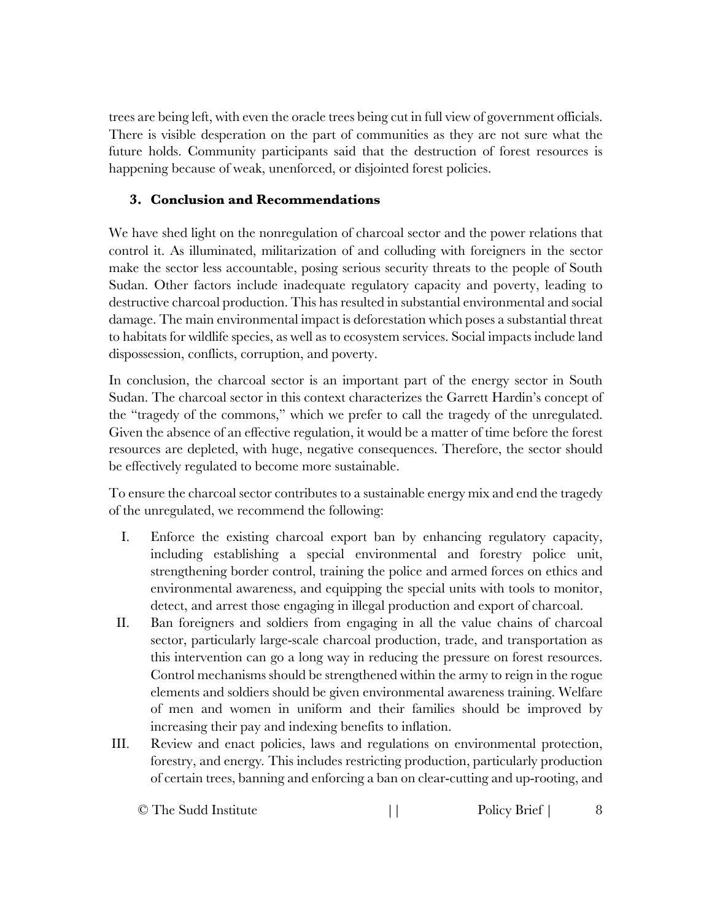trees are being left, with even the oracle trees being cut in full view of government officials. There is visible desperation on the part of communities as they are not sure what the future holds. Community participants said that the destruction of forest resources is happening because of weak, unenforced, or disjointed forest policies.

# **3. Conclusion and Recommendations**

We have shed light on the nonregulation of charcoal sector and the power relations that control it. As illuminated, militarization of and colluding with foreigners in the sector make the sector less accountable, posing serious security threats to the people of South Sudan. Other factors include inadequate regulatory capacity and poverty, leading to destructive charcoal production. This has resulted in substantial environmental and social damage. The main environmental impact is deforestation which poses a substantial threat to habitats for wildlife species, as well as to ecosystem services. Social impacts include land dispossession, conflicts, corruption, and poverty.

In conclusion, the charcoal sector is an important part of the energy sector in South Sudan. The charcoal sector in this context characterizes the Garrett Hardin's concept of the "tragedy of the commons," which we prefer to call the tragedy of the unregulated. Given the absence of an effective regulation, it would be a matter of time before the forest resources are depleted, with huge, negative consequences. Therefore, the sector should be effectively regulated to become more sustainable.

To ensure the charcoal sector contributes to a sustainable energy mix and end the tragedy of the unregulated, we recommend the following:

- I. Enforce the existing charcoal export ban by enhancing regulatory capacity, including establishing a special environmental and forestry police unit, strengthening border control, training the police and armed forces on ethics and environmental awareness, and equipping the special units with tools to monitor, detect, and arrest those engaging in illegal production and export of charcoal.
- II. Ban foreigners and soldiers from engaging in all the value chains of charcoal sector, particularly large-scale charcoal production, trade, and transportation as this intervention can go a long way in reducing the pressure on forest resources. Control mechanisms should be strengthened within the army to reign in the rogue elements and soldiers should be given environmental awareness training. Welfare of men and women in uniform and their families should be improved by increasing their pay and indexing benefits to inflation.
- III. Review and enact policies, laws and regulations on environmental protection, forestry, and energy*.* This includes restricting production, particularly production of certain trees, banning and enforcing a ban on clear-cutting and up-rooting, and

| © The Sudd Institute |  | Policy Brief |  |
|----------------------|--|--------------|--|
|----------------------|--|--------------|--|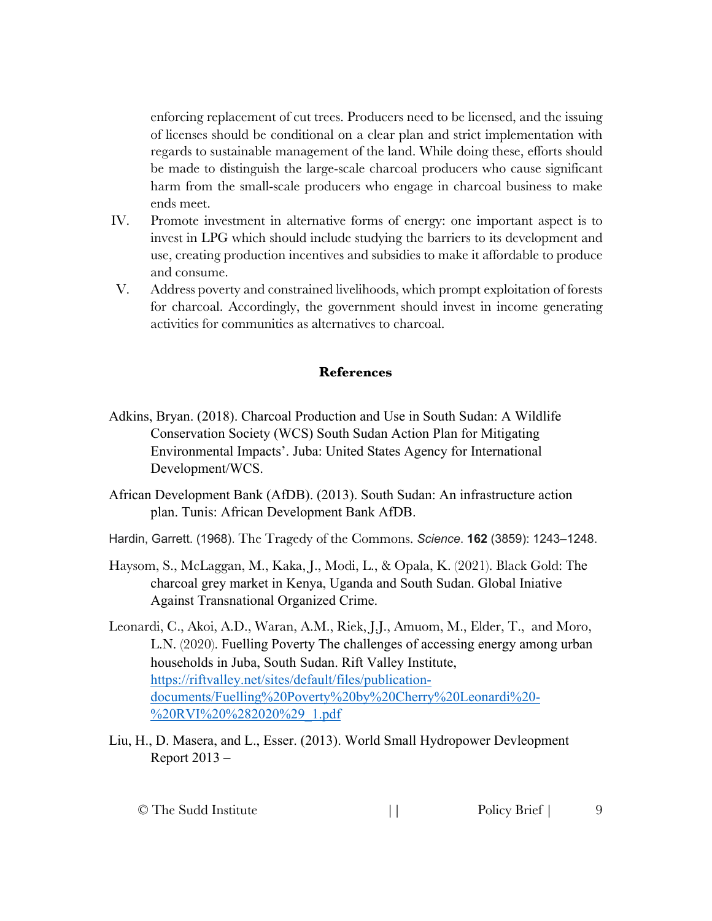enforcing replacement of cut trees. Producers need to be licensed, and the issuing of licenses should be conditional on a clear plan and strict implementation with regards to sustainable management of the land. While doing these, efforts should be made to distinguish the large-scale charcoal producers who cause significant harm from the small-scale producers who engage in charcoal business to make ends meet.

- IV. Promote investment in alternative forms of energy: one important aspect is to invest in LPG which should include studying the barriers to its development and use, creating production incentives and subsidies to make it affordable to produce and consume.
- V. Address poverty and constrained livelihoods, which prompt exploitation of forests for charcoal. Accordingly, the government should invest in income generating activities for communities as alternatives to charcoal.

#### **References**

- Adkins, Bryan. (2018). Charcoal Production and Use in South Sudan: A Wildlife Conservation Society (WCS) South Sudan Action Plan for Mitigating Environmental Impacts'. Juba: United States Agency for International Development/WCS.
- African Development Bank (AfDB). (2013). South Sudan: An infrastructure action plan. Tunis: African Development Bank AfDB.
- Hardin, Garrett. (1968). The Tragedy of the Commons. *Science*. **162** (3859): 1243–1248.
- Haysom, S., McLaggan, M., Kaka, J., Modi, L., & Opala, K. (2021). Black Gold: The charcoal grey market in Kenya, Uganda and South Sudan. Global Iniative Against Transnational Organized Crime.
- Leonardi, C., Akoi, A.D., Waran, A.M., Riek, J.J., Amuom, M., Elder, T., and Moro, L.N. (2020). Fuelling Poverty The challenges of accessing energy among urban households in Juba, South Sudan. Rift Valley Institute, https://riftvalley.net/sites/default/files/publicationdocuments/Fuelling%20Poverty%20by%20Cherry%20Leonardi%20- %20RVI%20%282020%29\_1.pdf
- Liu, H., D. Masera, and L., Esser. (2013). World Small Hydropower Devleopment Report 2013 –

| © The Sudd Institute |  | Policy Brief |  |
|----------------------|--|--------------|--|
|----------------------|--|--------------|--|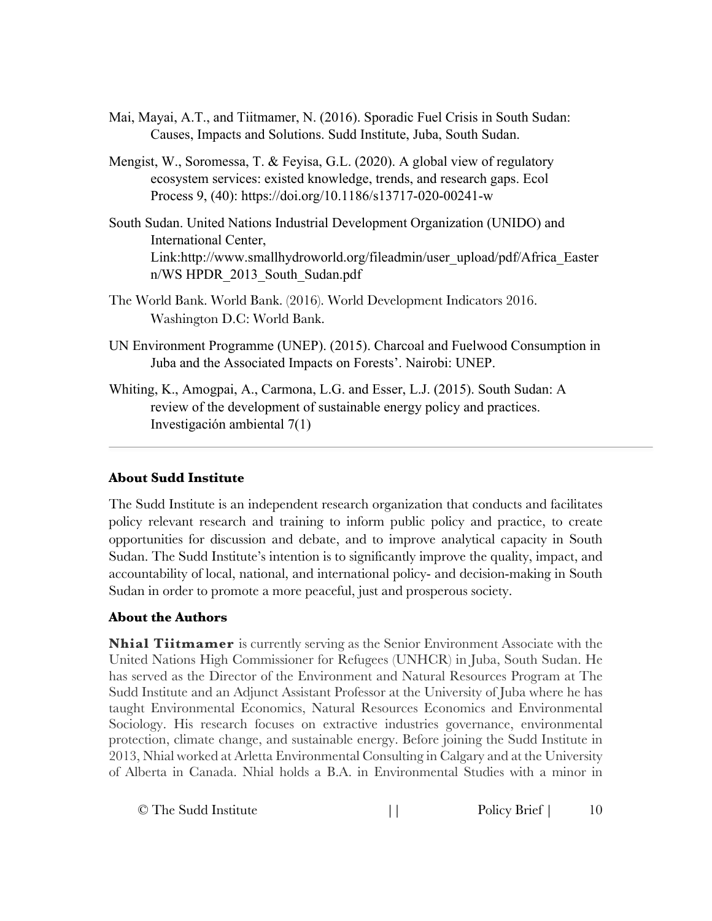- Mai, Mayai, A.T., and Tiitmamer, N. (2016). Sporadic Fuel Crisis in South Sudan: Causes, Impacts and Solutions. Sudd Institute, Juba, South Sudan.
- Mengist, W., Soromessa, T. & Feyisa, G.L. (2020). A global view of regulatory ecosystem services: existed knowledge, trends, and research gaps. Ecol Process 9, (40): https://doi.org/10.1186/s13717-020-00241-w
- South Sudan. United Nations Industrial Development Organization (UNIDO) and International Center, Link:http://www.smallhydroworld.org/fileadmin/user\_upload/pdf/Africa\_Easter n/WS HPDR\_2013\_South\_Sudan.pdf
- The World Bank. World Bank. (2016). World Development Indicators 2016. Washington D.C: World Bank.
- UN Environment Programme (UNEP). (2015). Charcoal and Fuelwood Consumption in Juba and the Associated Impacts on Forests'. Nairobi: UNEP.
- Whiting, K., Amogpai, A., Carmona, L.G. and Esser, L.J. (2015). South Sudan: A review of the development of sustainable energy policy and practices. Investigación ambiental 7(1)

#### **About Sudd Institute**

The Sudd Institute is an independent research organization that conducts and facilitates policy relevant research and training to inform public policy and practice, to create opportunities for discussion and debate, and to improve analytical capacity in South Sudan. The Sudd Institute's intention is to significantly improve the quality, impact, and accountability of local, national, and international policy- and decision-making in South Sudan in order to promote a more peaceful, just and prosperous society.

#### **About the Authors**

**Nhial Tiitmamer** is currently serving as the Senior Environment Associate with the United Nations High Commissioner for Refugees (UNHCR) in Juba, South Sudan. He has served as the Director of the Environment and Natural Resources Program at The Sudd Institute and an Adjunct Assistant Professor at the University of Juba where he has taught Environmental Economics, Natural Resources Economics and Environmental Sociology. His research focuses on extractive industries governance, environmental protection, climate change, and sustainable energy. Before joining the Sudd Institute in 2013, Nhial worked at Arletta Environmental Consulting in Calgary and at the University of Alberta in Canada. Nhial holds a B.A. in Environmental Studies with a minor in